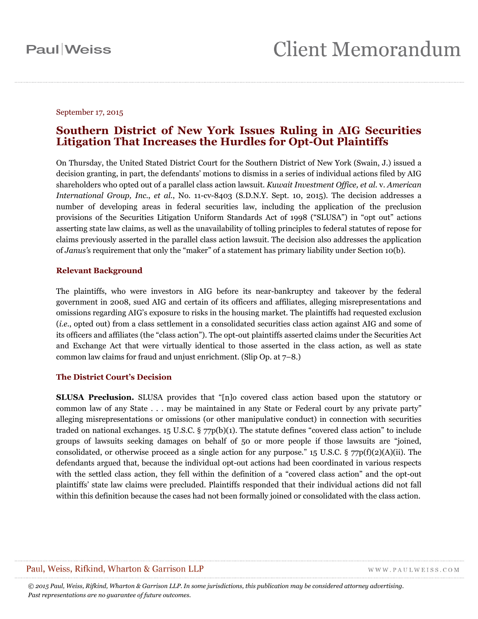#### September 17, 2015

### **Southern District of New York Issues Ruling in AIG Securities Litigation That Increases the Hurdles for Opt-Out Plaintiffs**

On Thursday, the United Stated District Court for the Southern District of New York (Swain, J.) issued a decision granting, in part, the defendants' motions to dismiss in a series of individual actions filed by AIG shareholders who opted out of a parallel class action lawsuit. *Kuwait Investment Office, et al.* v. *American International Group, Inc.*, *et al.*, No. 11-cv-8403 (S.D.N.Y. Sept. 10, 2015). The decision addresses a number of developing areas in federal securities law, including the application of the preclusion provisions of the Securities Litigation Uniform Standards Act of 1998 ("SLUSA") in "opt out" actions asserting state law claims, as well as the unavailability of tolling principles to federal statutes of repose for claims previously asserted in the parallel class action lawsuit. The decision also addresses the application of *Janus'*s requirement that only the "maker" of a statement has primary liability under Section 10(b).

### **Relevant Background**

The plaintiffs, who were investors in AIG before its near-bankruptcy and takeover by the federal government in 2008, sued AIG and certain of its officers and affiliates, alleging misrepresentations and omissions regarding AIG's exposure to risks in the housing market. The plaintiffs had requested exclusion (*i.e.*, opted out) from a class settlement in a consolidated securities class action against AIG and some of its officers and affiliates (the "class action"). The opt-out plaintiffs asserted claims under the Securities Act and Exchange Act that were virtually identical to those asserted in the class action, as well as state common law claims for fraud and unjust enrichment. (Slip Op. at 7–8.)

### **The District Court's Decision**

**SLUSA Preclusion.** SLUSA provides that "[n]o covered class action based upon the statutory or common law of any State . . . may be maintained in any State or Federal court by any private party" alleging misrepresentations or omissions (or other manipulative conduct) in connection with securities traded on national exchanges. 15 U.S.C.  $\S 77p(b)(1)$ . The statute defines "covered class action" to include groups of lawsuits seeking damages on behalf of 50 or more people if those lawsuits are "joined, consolidated, or otherwise proceed as a single action for any purpose." 15 U.S.C.  $\frac{5}{77p(f)(2)(A)(ii)}$ . The defendants argued that, because the individual opt-out actions had been coordinated in various respects with the settled class action, they fell within the definition of a "covered class action" and the opt-out plaintiffs' state law claims were precluded. Plaintiffs responded that their individual actions did not fall within this definition because the cases had not been formally joined or consolidated with the class action.

### Paul, Weiss, Rifkind, Wharton & Garrison LLP

 $\label{eq:1} \begin{array}{lll} \mathbf{W}\,\mathbf{W}\,\mathbf{W}\,,\, \mathbf{P}\,\mathbf{A}\,\mathbf{U}\,\mathbf{L}\,\mathbf{W}\,\mathbf{E}\,\mathbf{I}\,\mathbf{S}\,\mathbf{S}\,.\,\mathbf{C}\,\mathbf{O}\,\mathbf{M} \end{array}$ 

*© 2015 Paul, Weiss, Rifkind, Wharton & Garrison LLP. In some jurisdictions, this publication may be considered attorney advertising. Past representations are no guarantee of future outcomes.*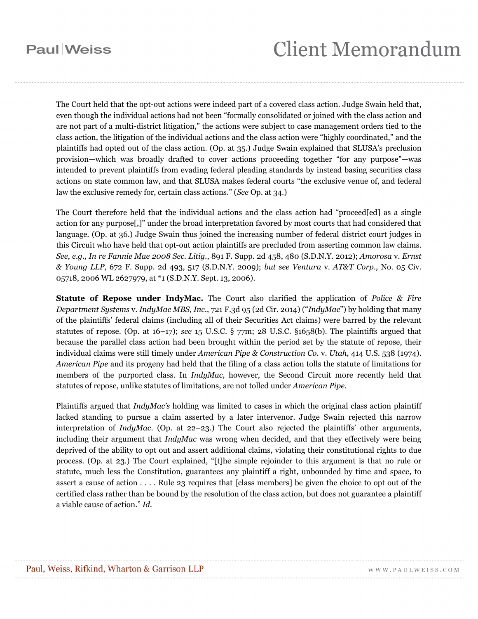## **Paul**Weiss

# **Client Memorandum**

The Court held that the opt-out actions were indeed part of a covered class action. Judge Swain held that, even though the individual actions had not been "formally consolidated or joined with the class action and are not part of a multi-district litigation," the actions were subject to case management orders tied to the class action, the litigation of the individual actions and the class action were "highly coordinated," and the plaintiffs had opted out of the class action. (Op. at 35.) Judge Swain explained that SLUSA's preclusion provision—which was broadly drafted to cover actions proceeding together "for any purpose"—was intended to prevent plaintiffs from evading federal pleading standards by instead basing securities class actions on state common law, and that SLUSA makes federal courts "the exclusive venue of, and federal law the exclusive remedy for, certain class actions." (*See* Op. at 34.)

The Court therefore held that the individual actions and the class action had "proceed[ed] as a single action for any purpose[,]" under the broad interpretation favored by most courts that had considered that language. (Op. at 36.) Judge Swain thus joined the increasing number of federal district court judges in this Circuit who have held that opt-out action plaintiffs are precluded from asserting common law claims. *See, e.g., In re Fannie Mae 2008 Sec. Litig.*, 891 F. Supp. 2d 458, 480 (S.D.N.Y. 2012); *Amorosa* v. *Ernst & Young LLP*, 672 F. Supp. 2d 493, 517 (S.D.N.Y. 2009); *but see Ventura* v. *AT&T Corp.*, No. 05 Civ. 05718, 2006 WL 2627979, at \*1 (S.D.N.Y. Sept. 13, 2006).

**Statute of Repose under IndyMac.** The Court also clarified the application of *Police & Fire Department Systems* v. *IndyMac MBS, Inc.*, 721 F.3d 95 (2d Cir. 2014) ("*IndyMac*") by holding that many of the plaintiffs' federal claims (including all of their Securities Act claims) were barred by the relevant statutes of repose. (Op. at 16–17); *see* 15 U.S.C. § 77m; 28 U.S.C. §1658(b). The plaintiffs argued that because the parallel class action had been brought within the period set by the statute of repose, their individual claims were still timely under *American Pipe & Construction Co.* v. *Utah*, 414 U.S. 538 (1974). *American Pipe* and its progeny had held that the filing of a class action tolls the statute of limitations for members of the purported class. In *IndyMac*, however, the Second Circuit more recently held that statutes of repose, unlike statutes of limitations, are not tolled under *American Pipe*.

Plaintiffs argued that *IndyMac's* holding was limited to cases in which the original class action plaintiff lacked standing to pursue a claim asserted by a later intervenor. Judge Swain rejected this narrow interpretation of *IndyMac*. (Op. at 22–23.) The Court also rejected the plaintiffs' other arguments, including their argument that *IndyMac* was wrong when decided, and that they effectively were being deprived of the ability to opt out and assert additional claims, violating their constitutional rights to due process. (Op. at 23.) The Court explained, "[t]he simple rejoinder to this argument is that no rule or statute, much less the Constitution, guarantees any plaintiff a right, unbounded by time and space, to assert a cause of action . . . . Rule 23 requires that [class members] be given the choice to opt out of the certified class rather than be bound by the resolution of the class action, but does not guarantee a plaintiff a viable cause of action." *Id*.

WWW.PAULWEISS.COM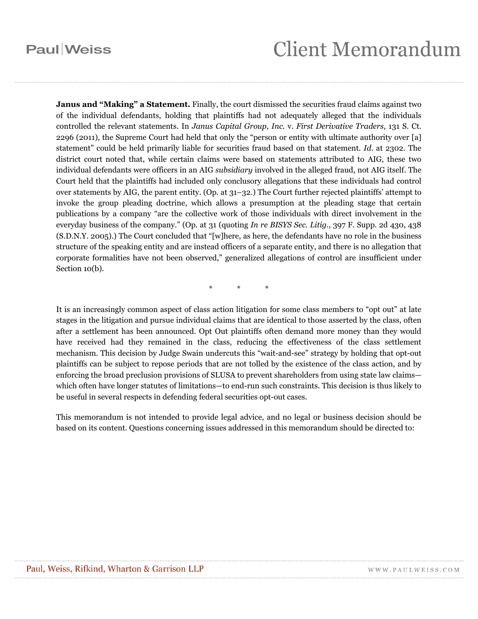### **Paul** Weiss

## **Client Memorandum**

**Janus and "Making" a Statement.** Finally, the court dismissed the securities fraud claims against two of the individual defendants, holding that plaintiffs had not adequately alleged that the individuals controlled the relevant statements. In *Janus Capital Group, Inc.* v. *First Derivative Traders*, 131 S. Ct. 2296 (2011), the Supreme Court had held that only the "person or entity with ultimate authority over [a] statement" could be held primarily liable for securities fraud based on that statement. *Id*. at 2302. The district court noted that, while certain claims were based on statements attributed to AIG, these two individual defendants were officers in an AIG *subsidiary* involved in the alleged fraud, not AIG itself. The Court held that the plaintiffs had included only conclusory allegations that these individuals had control over statements by AIG, the parent entity. (Op. at 31–32.) The Court further rejected plaintiffs' attempt to invoke the group pleading doctrine, which allows a presumption at the pleading stage that certain publications by a company "are the collective work of those individuals with direct involvement in the everyday business of the company." (Op. at 31 (quoting *In re BISYS Sec. Litig.*, 397 F. Supp. 2d 430, 438 (S.D.N.Y. 2005).) The Court concluded that "[w]here, as here, the defendants have no role in the business structure of the speaking entity and are instead officers of a separate entity, and there is no allegation that corporate formalities have not been observed," generalized allegations of control are insufficient under Section 10(b).

\* \* \*

It is an increasingly common aspect of class action litigation for some class members to "opt out" at late stages in the litigation and pursue individual claims that are identical to those asserted by the class, often after a settlement has been announced. Opt Out plaintiffs often demand more money than they would have received had they remained in the class, reducing the effectiveness of the class settlement mechanism. This decision by Judge Swain undercuts this "wait-and-see" strategy by holding that opt-out plaintiffs can be subject to repose periods that are not tolled by the existence of the class action, and by enforcing the broad preclusion provisions of SLUSA to prevent shareholders from using state law claims which often have longer statutes of limitations—to end-run such constraints. This decision is thus likely to be useful in several respects in defending federal securities opt-out cases.

This memorandum is not intended to provide legal advice, and no legal or business decision should be based on its content. Questions concerning issues addressed in this memorandum should be directed to: